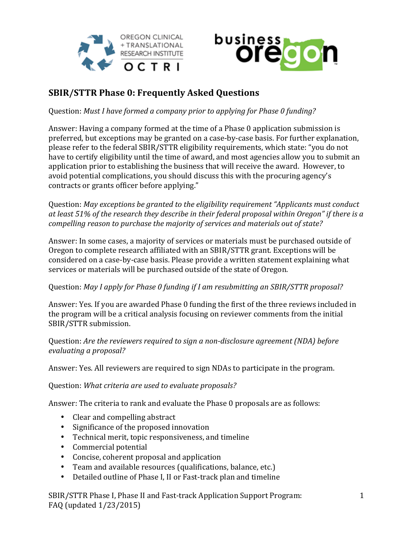



## **SBIR/STTR Phase 0: Frequently Asked Ouestions**

Question: Must I have formed a company prior to applying for Phase 0 funding?

Answer: Having a company formed at the time of a Phase 0 application submission is preferred, but exceptions may be granted on a case-by-case basis. For further explanation, please refer to the federal SBIR/STTR eligibility requirements, which state: "you do not have to certify eligibility until the time of award, and most agencies allow you to submit an application prior to establishing the business that will receive the award. However, to avoid potential complications, you should discuss this with the procuring agency's contracts or grants officer before applying."

Question: May exceptions be granted to the eligibility requirement "Applicants must conduct at least 51% of the research they describe in their federal proposal within Oregon" if there is a *compelling reason to purchase the majority of services and materials out of state?* 

Answer: In some cases, a majority of services or materials must be purchased outside of Oregon to complete research affiliated with an SBIR/STTR grant. Exceptions will be considered on a case-by-case basis. Please provide a written statement explaining what services or materials will be purchased outside of the state of Oregon.

## Question: May I apply for Phase 0 funding if I am resubmitting an SBIR/STTR proposal?

Answer: Yes. If you are awarded Phase 0 funding the first of the three reviews included in the program will be a critical analysis focusing on reviewer comments from the initial SBIR/STTR submission.

Question: Are the reviewers required to sign a non-disclosure agreement (NDA) before *evaluating a proposal?*

Answer: Yes. All reviewers are required to sign NDAs to participate in the program.

Question: What criteria are used to evaluate proposals?

Answer: The criteria to rank and evaluate the Phase 0 proposals are as follows:

- Clear and compelling abstract
- Significance of the proposed innovation
- Technical merit, topic responsiveness, and timeline
- Commercial potential
- Concise, coherent proposal and application
- Team and available resources (qualifications, balance, etc.)
- Detailed outline of Phase I, II or Fast-track plan and timeline

SBIR/STTR Phase I, Phase II and Fast-track Application Support Program: FAQ (updated  $1/23/2015$ )